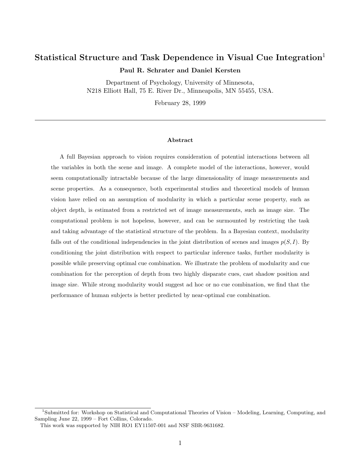# **Statistical Structure and Task Dependence in Visual Cue Integration**<sup>1</sup>

**Paul R. Schrater and Daniel Kersten**

Department of Psychology, University of Minnesota, N218 Elliott Hall, 75 E. River Dr., Minneapolis, MN 55455, USA.

February 28, 1999

#### **Abstract**

A full Bayesian approach to vision requires consideration of potential interactions between all the variables in both the scene and image. A complete model of the interactions, however, would seem computationally intractable because of the large dimensionality of image measurements and scene properties. As a consequence, both experimental studies and theoretical models of human vision have relied on an assumption of modularity in which a particular scene property, such as object depth, is estimated from a restricted set of image measurements, such as image size. The computational problem is not hopeless, however, and can be surmounted by restricting the task and taking advantage of the statistical structure of the problem. In a Bayesian context, modularity falls out of the conditional independencies in the joint distribution of scenes and images  $p(S, I)$ . By conditioning the joint distribution with respect to particular inference tasks, further modularity is possible while preserving optimal cue combination. We illustrate the problem of modularity and cue combination for the perception of depth from two highly disparate cues, cast shadow position and image size. While strong modularity would suggest ad hoc or no cue combination, we find that the performance of human subjects is better predicted by near-optimal cue combination.

<sup>1</sup>Submitted for: Workshop on Statistical and Computational Theories of Vision – Modeling, Learning, Computing, and Sampling June 22, 1999 – Fort Collins, Colorado.

This work was supported by NIH RO1 EY11507-001 and NSF SBR-9631682.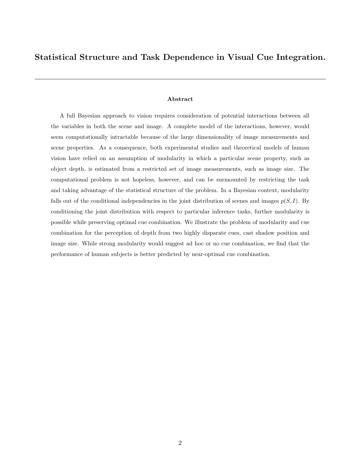## **Statistical Structure and Task Dependence in Visual Cue Integration.**

#### **Abstract**

A full Bayesian approach to vision requires consideration of potential interactions between all the variables in both the scene and image. A complete model of the interactions, however, would seem computationally intractable because of the large dimensionality of image measurements and scene properties. As a consequence, both experimental studies and theoretical models of human vision have relied on an assumption of modularity in which a particular scene property, such as object depth, is estimated from a restricted set of image measurements, such as image size. The computational problem is not hopeless, however, and can be surmounted by restricting the task and taking advantage of the statistical structure of the problem. In a Bayesian context, modularity falls out of the conditional independencies in the joint distribution of scenes and images  $p(S, I)$ . By conditioning the joint distribution with respect to particular inference tasks, further modularity is possible while preserving optimal cue combination. We illustrate the problem of modularity and cue combination for the perception of depth from two highly disparate cues, cast shadow position and image size. While strong modularity would suggest ad hoc or no cue combination, we find that the performance of human subjects is better predicted by near-optimal cue combination.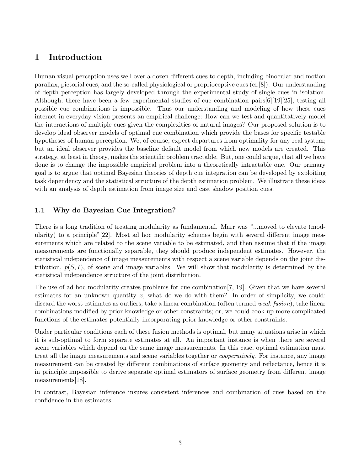# **1 Introduction**

Human visual perception uses well over a dozen different cues to depth, including binocular and motion parallax, pictorial cues, and the so-called physiological or proprioceptive cues (cf.[8]). Our understanding of depth perception has largely developed through the experimental study of single cues in isolation. Although, there have been a few experimental studies of cue combination pairs[6][19][25], testing all possible cue combinations is impossible. Thus our understanding and modeling of how these cues interact in everyday vision presents an empirical challenge: How can we test and quantitatively model the interactions of multiple cues given the complexities of natural images? Our proposed solution is to develop ideal observer models of optimal cue combination which provide the bases for specific testable hypotheses of human perception. We, of course, expect departures from optimality for any real system; but an ideal observer provides the baseline default model from which new models are created. This strategy, at least in theory, makes the scientific problem tractable. But, one could argue, that all we have done is to change the impossible empirical problem into a theoretically intractable one. Our primary goal is to argue that optimal Bayesian theories of depth cue integration can be developed by exploiting task dependency and the statistical structure of the depth estimation problem. We illustrate these ideas with an analysis of depth estimation from image size and cast shadow position cues.

## **1.1 Why do Bayesian Cue Integration?**

There is a long tradition of treating modularity as fundamental. Marr was "...moved to elevate (modularity) to a principle"[22]. Most ad hoc modularity schemes begin with several different image measurements which are related to the scene variable to be estimated, and then assume that if the image measurements are functionally separable, they should produce independent estimates. However, the statistical independence of image measurements with respect a scene variable depends on the joint distribution,  $p(S, I)$ , of scene and image variables. We will show that modularity is determined by the statistical independence structure of the joint distribution.

The use of ad hoc modularity creates problems for cue combination[7, 19]. Given that we have several estimates for an unknown quantity  $x$ , what do we do with them? In order of simplicity, we could: discard the worst estimates as outliers; take a linear combination (often termed weak fusion); take linear combinations modified by prior knowledge or other constraints; or, we could cook up more complicated functions of the estimates potentially incorporating prior knowledge or other constraints.

Under particular conditions each of these fusion methods is optimal, but many situations arise in which it is sub-optimal to form separate estimates at all. An important instance is when there are several scene variables which depend on the same image measurements. In this case, optimal estimation must treat all the image measurements and scene variables together or *cooperatively*. For instance, any image measurement can be created by different combinations of surface geometry and reflectance, hence it is in principle impossible to derive separate optimal estimators of surface geometry from different image measurements[18].

In contrast, Bayesian inference insures consistent inferences and combination of cues based on the confidence in the estimates.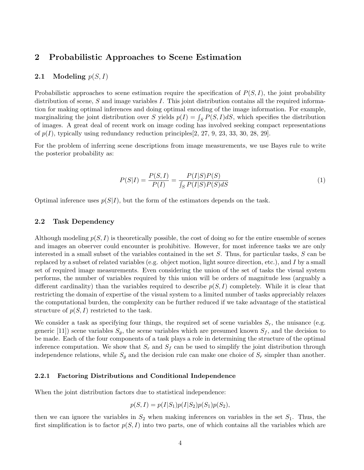## **2 Probabilistic Approaches to Scene Estimation**

### **2.1** Modeling  $p(S, I)$

Probabilistic approaches to scene estimation require the specification of *P*(*S, I*), the joint probability distribution of scene, *S* and image variables *I*. This joint distribution contains all the required information for making optimal inferences and doing optimal encoding of the image information. For example, marginalizing the joint distribution over *S* yields  $p(I) = \int_S P(S, I)dS$ , which specifies the distribution of images. A great deal of recent work on image coding has involved seeking compact representations of  $p(I)$ , typically using redundancy reduction principles  $[2, 27, 9, 23, 33, 30, 28, 29]$ .

For the problem of inferring scene descriptions from image measurements, we use Bayes rule to write the posterior probability as:

$$
P(S|I) = \frac{P(S, I)}{P(I)} = \frac{P(I|S)P(S)}{\int_{S} P(I|S)P(S)dS}
$$
(1)

Optimal inference uses  $p(S|I)$ , but the form of the estimators depends on the task.

### **2.2 Task Dependency**

Although modeling  $p(S, I)$  is theoretically possible, the cost of doing so for the entire ensemble of scenes and images an observer could encounter is prohibitive. However, for most inference tasks we are only interested in a small subset of the variables contained in the set *S*. Thus, for particular tasks, *S* can be replaced by a subset of related variables (e.g. object motion, light source direction, etc.), and *I* by a small set of required image measurements. Even considering the union of the set of tasks the visual system performs, the number of variables required by this union will be orders of magnitude less (arguably a different cardinality) than the variables required to describe  $p(S, I)$  completely. While it is clear that restricting the domain of expertise of the visual system to a limited number of tasks appreciably relaxes the computational burden, the complexity can be further reduced if we take advantage of the statistical structure of  $p(S, I)$  restricted to the task.

We consider a task as specifying four things, the required set of scene variables *Sr*, the nuisance (e.g. generic [11]) scene variables  $S_q$ , the scene variables which are presumed known  $S_f$ , and the decision to be made. Each of the four components of a task plays a role in determining the structure of the optimal inference computation. We show that  $S_r$  and  $S_f$  can be used to simplify the joint distribution through independence relations, while  $S_g$  and the decision rule can make one choice of  $S_r$  simpler than another.

#### **2.2.1 Factoring Distributions and Conditional Independence**

When the joint distribution factors due to statistical independence:

$$
p(S, I) = p(I|S_1)p(I|S_2)p(S_1)p(S_2),
$$

then we can ignore the variables in  $S_2$  when making inferences on variables in the set  $S_1$ . Thus, the first simplification is to factor  $p(S, I)$  into two parts, one of which contains all the variables which are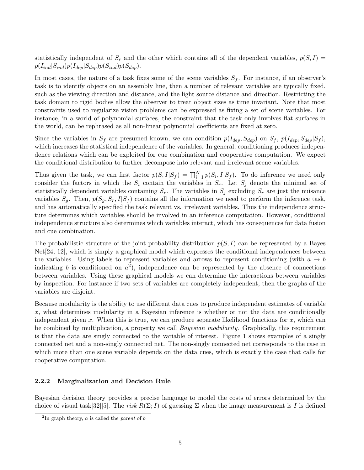statistically independent of  $S_r$  and the other which contains all of the dependent variables,  $p(S, I)$  $p(I_{ind}|S_{ind})p(I_{dep}|S_{dep})p(S_{ind})p(S_{dep}).$ 

In most cases, the nature of a task fixes some of the scene variables  $S_f$ . For instance, if an observer's task is to identify objects on an assembly line, then a number of relevant variables are typically fixed, such as the viewing direction and distance, and the light source distance and direction. Restricting the task domain to rigid bodies allow the observer to treat object sizes as time invariant. Note that most constraints used to regularize vision problems can be expressed as fixing a set of scene variables. For instance, in a world of polynomial surfaces, the constraint that the task only involves flat surfaces in the world, can be rephrased as all non-linear polynomial coefficients are fixed at zero.

Since the variables in  $S_f$  are presumed known, we can condition  $p(I_{dep}, S_{dep})$  on  $S_f$ ,  $p(I_{dep}, S_{dep}|S_f)$ , which increases the statistical independence of the variables. In general, conditioning produces independence relations which can be exploited for cue combination and cooperative computation. We expect the conditional distribution to further decompose into relevant and irrelevant scene variables.

Thus given the task, we can first factor  $p(S, I|S_f) = \prod_{i=1}^{N} p(S_i, I|S_f)$ . To do inference we need only consider the factors in which the  $S_i$  contain the variables in  $S_r$ . Let  $S_j$  denote the minimal set of statistically dependent variables containing  $S_r$ . The variables in  $S_j$  excluding  $S_r$  are just the nuisance variables  $S_q$ . Then,  $p(S_q, S_r, I|S_f)$  contains all the information we need to perform the inference task, and has automatically specified the task relevant vs. irrelevant variables. Thus the independence structure determines which variables should be involved in an inference computation. However, conditional independence structure also determines which variables interact, which has consequences for data fusion and cue combination.

The probabilistic structure of the joint probability distribution *p*(*S, I*) can be represented by a Bayes Net[24, 12], which is simply a graphical model which expresses the conditional independences between the variables. Using labels to represent variables and arrows to represent conditioning (with  $a \rightarrow b$ indicating *b* is conditioned on  $a^2$ ), independence can be represented by the absence of connections between variables. Using these graphical models we can determine the interactions between variables by inspection. For instance if two sets of variables are completely independent, then the graphs of the variables are disjoint.

Because modularity is the ability to use different data cues to produce independent estimates of variable *x*, what determines modularity in a Bayesian inference is whether or not the data are conditionally independent given *x*. When this is true, we can produce separate likelihood functions for *x*, which can be combined by multiplication, a property we call Bayesian modularity. Graphically, this requirement is that the data are singly connected to the variable of interest. Figure 1 shows examples of a singly connected net and a non-singly connected net. The non-singly connected net corresponds to the case in which more than one scene variable depends on the data cues, which is exactly the case that calls for cooperative computation.

### **2.2.2 Marginalization and Decision Rule**

Bayesian decision theory provides a precise language to model the costs of errors determined by the choice of visual task  $[32][5]$ . The risk  $R(\Sigma; I)$  of guessing  $\Sigma$  when the image measurement is *I* is defined

 $^{2}$ In graph theory, *a* is called the *parent* of *b*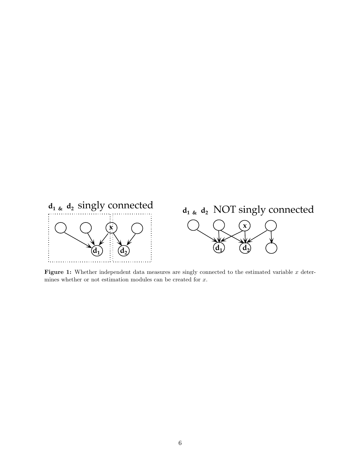

**Figure 1:** Whether independent data measures are singly connected to the estimated variable *x* determines whether or not estimation modules can be created for *x*.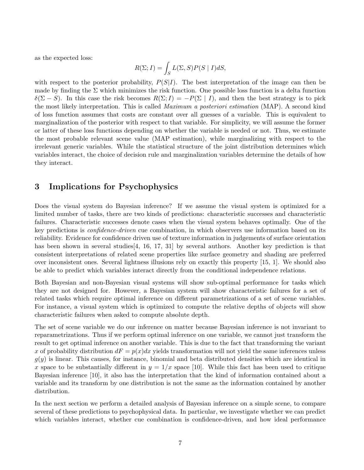as the expected loss:

$$
R(\Sigma; I) = \int_S L(\Sigma, S) P(S \mid I) dS,
$$

with respect to the posterior probability,  $P(S|I)$ . The best interpretation of the image can then be made by finding the  $\Sigma$  which minimizes the risk function. One possible loss function is a delta function  $\delta(\Sigma - S)$ . In this case the risk becomes  $R(\Sigma; I) = -P(\Sigma | I)$ , and then the best strategy is to pick the most likely interpretation. This is called *Maximum a posteriori estimation* (MAP). A second kind of loss function assumes that costs are constant over all guesses of a variable. This is equivalent to marginalization of the posterior with respect to that variable. For simplicity, we will assume the former or latter of these loss functions depending on whether the variable is needed or not. Thus, we estimate the most probable relevant scene value (MAP estimation), while marginalizing with respect to the irrelevant generic variables. While the statistical structure of the joint distribution determines which variables interact, the choice of decision rule and marginalization variables determine the details of how they interact.

## **3 Implications for Psychophysics**

Does the visual system do Bayesian inference? If we assume the visual system is optimized for a limited number of tasks, there are two kinds of predictions: characteristic successes and characteristic failures. Characteristic successes denote cases when the visual system behaves optimally. One of the key predictions is *confidence-driven* cue combination, in which observers use information based on its reliability. Evidence for confidence driven use of texture information in judgements of surface orientation has been shown in several studies [4, 16, 17, 31] by several authors. Another key prediction is that consistent interpretations of related scene properties like surface geometry and shading are preferred over inconsistent ones. Several lightness illusions rely on exactly this property [15, 1]. We should also be able to predict which variables interact directly from the conditional independence relations.

Both Bayesian and non-Bayesian visual systems will show sub-optimal performance for tasks which they are not designed for. However, a Bayesian system will show characteristic failures for a set of related tasks which require optimal inference on different parametrizations of a set of scene variables. For instance, a visual system which is optimized to compute the relative depths of objects will show characteristic failures when asked to compute absolute depth.

The set of scene variable we do our inference on matter because Bayesian inference is not invariant to reparametrizations. Thus if we perform optimal inference on one variable, we cannot just transform the result to get optimal inference on another variable. This is due to the fact that transforming the variant *x* of probability distribution  $dF = p(x)dx$  yields transformation will not yield the same inferences unless  $g(y)$  is linear. This causes, for instance, binomial and beta distributed densities which are identical in *x* space to be substantially different in  $y = 1/x$  space [10]. While this fact has been used to critique Bayesian inference [10], it also has the interpretation that the kind of information contained about a variable and its transform by one distribution is not the same as the information contained by another distribution.

In the next section we perform a detailed analysis of Bayesian inference on a simple scene, to compare several of these predictions to psychophysical data. In particular, we investigate whether we can predict which variables interact, whether cue combination is confidence-driven, and how ideal performance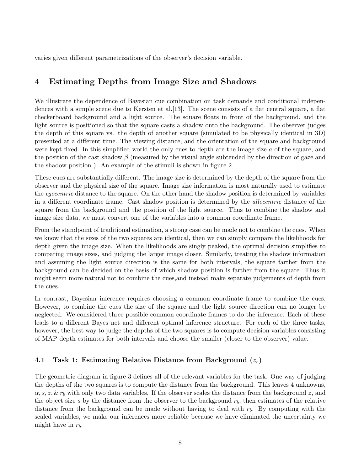varies given different parametrizations of the observer's decision variable.

# **4 Estimating Depths from Image Size and Shadows**

We illustrate the dependence of Bayesian cue combination on task demands and conditional independences with a simple scene due to Kersten et al.[13]. The scene consists of a flat central square, a flat checkerboard background and a light source. The square floats in front of the background, and the light source is positioned so that the square casts a shadow onto the background. The observer judges the depth of this square vs. the depth of another square (simulated to be physically identical in 3D) presented at a different time. The viewing distance, and the orientation of the square and background were kept fixed. In this simplified world the only cues to depth are the image size *a* of the square, and the position of the cast shadow *β* (measured by the visual angle subtended by the direction of gaze and the shadow position ). An example of the stimuli is shown in figure 2.

These cues are substantially different. The image size is determined by the depth of the square from the observer and the physical size of the square. Image size information is most naturally used to estimate the egocentric distance to the square. On the other hand the shadow position is determined by variables in a different coordinate frame. Cast shadow position is determined by the allocentric distance of the square from the background and the position of the light source. Thus to combine the shadow and image size data, we must convert one of the variables into a common coordinate frame.

From the standpoint of traditional estimation, a strong case can be made not to combine the cues. When we know that the sizes of the two squares are identical, then we can simply compare the likelihoods for depth given the image size. When the likelihoods are singly peaked, the optimal decision simplifies to comparing image sizes, and judging the larger image closer. Similarly, treating the shadow information and assuming the light source direction is the same for both intervals, the square farther from the background can be decided on the basis of which shadow position is farther from the square. Thus it might seem more natural not to combine the cues,and instead make separate judgements of depth from the cues.

In contrast, Bayesian inference requires choosing a common coordinate frame to combine the cues. However, to combine the cues the size of the square and the light source direction can no longer be neglected. We considered three possible common coordinate frames to do the inference. Each of these leads to a different Bayes net and different optimal inference structure. For each of the three tasks, however, the best way to judge the depths of the two squares is to compute decision variables consisting of MAP depth estimates for both intervals and choose the smaller (closer to the observer) value.

### **4.1 Task 1: Estimating Relative Distance from Background (***zr***)**

The geometric diagram in figure 3 defines all of the relevant variables for the task. One way of judging the depths of the two squares is to compute the distance from the background. This leaves 4 unknowns, *α, s, z,* & *r<sup>b</sup>* with only two data variables. If the observer scales the distance from the background *z*, and the object size  $s$  by the distance from the observer to the background  $r<sub>b</sub>$ , then estimates of the relative distance from the background can be made without having to deal with *rb*. By computing with the scaled variables, we make our inferences more reliable because we have eliminated the uncertainty we might have in *rb*.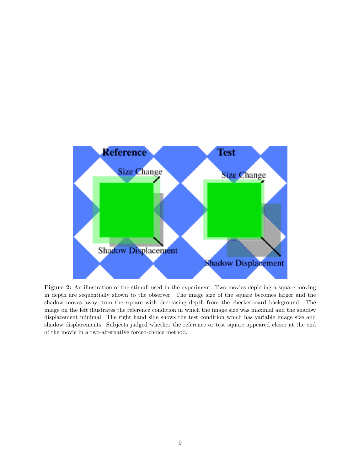

**Figure 2:** An illustration of the stimuli used in the experiment. Two movies depicting a square moving in depth are sequentially shown to the observer. The image size of the square becomes larger and the shadow moves away from the square with decreasing depth from the checkerboard background. The image on the left illustrates the reference condition in which the image size was maximal and the shadow displacement minimal. The right hand side shows the test condition which has variable image size and shadow displacements. Subjects judged whether the reference or test square appeared closer at the end of the movie in a two-alternative forced-choice method.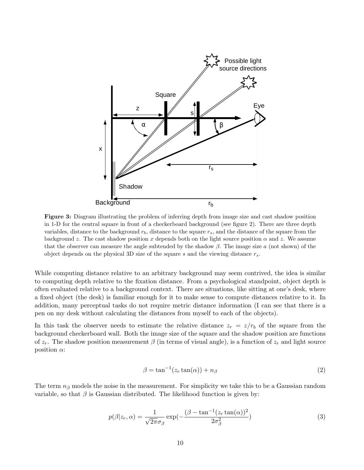

**Figure 3:** Diagram illustrating the problem of inferring depth from image size and cast shadow position in 1-D for the central square in front of a checkerboard background (see figure 2). There are three depth variables, distance to the background  $r<sub>b</sub>$ , distance to the square  $r<sub>s</sub>$ , and the distance of the square from the background *z*. The cast shadow position *x* depends both on the light source position  $\alpha$  and *z*. We assume that the observer can measure the angle subtended by the shadow *β*. The image size *a* (not shown) of the object depends on the physical 3D size of the square *s* and the viewing distance *rs*.

While computing distance relative to an arbitrary background may seem contrived, the idea is similar to computing depth relative to the fixation distance. From a psychological standpoint, object depth is often evaluated relative to a background context. There are situations, like sitting at one's desk, where a fixed object (the desk) is familiar enough for it to make sense to compute distances relative to it. In addition, many perceptual tasks do not require metric distance information (I can see that there is a pen on my desk without calculating the distances from myself to each of the objects).

In this task the observer needs to estimate the relative distance  $z_r = z/r_b$  of the square from the background checkerboard wall. Both the image size of the square and the shadow position are functions of  $z_r$ . The shadow position measurement  $\beta$  (in terms of visual angle), is a function of  $z_r$  and light source position *α*:

$$
\beta = \tan^{-1}(z_r \tan(\alpha)) + n_\beta \tag{2}
$$

The term *n<sup>β</sup>* models the noise in the measurement. For simplicity we take this to be a Gaussian random variable, so that  $\beta$  is Gaussian distributed. The likelihood function is given by:

$$
p(\beta|z_r,\alpha) = \frac{1}{\sqrt{2\pi}\sigma_\beta} \exp\left(-\frac{(\beta - \tan^{-1}(z_r \tan(\alpha))^2)}{2\sigma_\beta^2}\right)
$$
(3)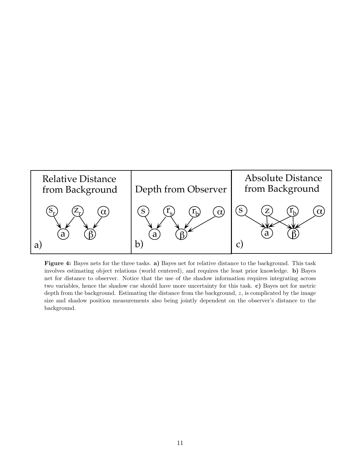

**Figure 4:** Bayes nets for the three tasks. **a)** Bayes net for relative distance to the background. This task involves estimating object relations (world centered), and requires the least prior knowledge. **b)** Bayes net for distance to observer. Notice that the use of the shadow information requires integrating across two variables, hence the shadow cue should have more uncertainty for this task. **c)** Bayes net for metric depth from the background. Estimating the distance from the background, *z*, is complicated by the image size and shadow position measurements also being jointly dependent on the observer's distance to the background.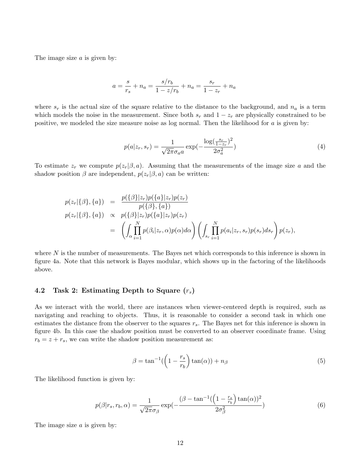The image size *a* is given by:

$$
a = \frac{s}{r_s} + n_a = \frac{s/r_b}{1 - z/r_b} + n_a = \frac{s_r}{1 - z_r} + n_a
$$

where  $s_r$  is the actual size of the square relative to the distance to the background, and  $n_a$  is a term which models the noise in the measurement. Since both  $s_r$  and  $1 - z_r$  are physically constrained to be positive, we modeled the size measure noise as log normal. Then the likelihood for *a* is given by:

$$
p(a|z_r, s_r) = \frac{1}{\sqrt{2\pi}\sigma_a a} \exp(-\frac{\log(\frac{s_r}{1 - z_r})^2}{2\sigma_a^2})
$$
\n(4)

To estimate  $z_r$  we compute  $p(z_r|\beta, a)$ . Assuming that the measurements of the image size *a* and the shadow position  $\beta$  are independent,  $p(z_r|\beta, a)$  can be written:

$$
p(z_r|\{\beta\},\{a\}) = \frac{p(\{\beta\}|z_r)p(\{a\}|z_r)p(z_r)}{p(\{\beta\},\{a\})}
$$
  
\n
$$
p(z_r|\{\beta\},\{a\}) \propto p(\{\beta\}|z_r)p(\{a\}|z_r)p(z_r)
$$
  
\n
$$
= \left(\int_{\alpha} \prod_{i=1}^N p(\beta_i|z_r,\alpha)p(\alpha)d\alpha\right) \left(\int_{s_r} \prod_{i=1}^N p(a_i|z_r,s_r)p(s_r)ds_r\right) p(z_r),
$$

where N is the number of measurements. The Bayes net which corresponds to this inference is shown in figure 4a. Note that this network is Bayes modular, which shows up in the factoring of the likelihoods above.

### **4.2 Task 2: Estimating Depth to Square (***rs***)**

As we interact with the world, there are instances when viewer-centered depth is required, such as navigating and reaching to objects. Thus, it is reasonable to consider a second task in which one estimates the distance from the observer to the squares *rs*. The Bayes net for this inference is shown in figure 4b. In this case the shadow position must be converted to an observer coordinate frame. Using  $r_b = z + r_s$ , we can write the shadow position measurement as:

$$
\beta = \tan^{-1}\left(\left(1 - \frac{r_s}{r_b}\right)\tan(\alpha)\right) + n_\beta \tag{5}
$$

The likelihood function is given by:

$$
p(\beta|r_s, r_b, \alpha) = \frac{1}{\sqrt{2\pi}\sigma_\beta} \exp\left(-\frac{(\beta - \tan^{-1}(\left(1 - \frac{r_s}{r_b}\right)\tan(\alpha))^2}{2\sigma_\beta^2}\right)
$$
(6)

The image size *a* is given by: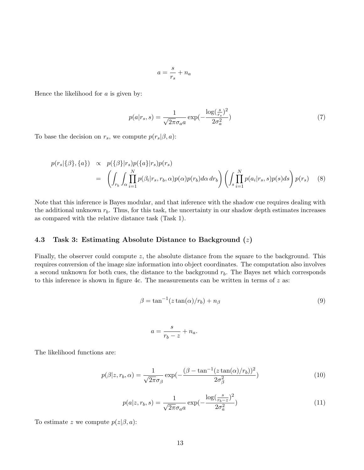$$
a = \frac{s}{r_s} + n_a
$$

Hence the likelihood for *a* is given by:

$$
p(a|r_s, s) = \frac{1}{\sqrt{2\pi}\sigma_a a} \exp(-\frac{\log(\frac{s}{r_s})^2}{2\sigma_a^2})
$$
\n(7)

To base the decision on  $r_s$ , we compute  $p(r_s|\beta, a)$ :

$$
p(r_s|\{\beta\},\{a\}) \propto p(\{\beta\}|r_s)p(\{a\}|r_s)p(r_s)
$$
  
= 
$$
\left(\int_{r_b} \int_{\alpha} \prod_{i=1}^N p(\beta_i|r_s, r_b, \alpha)p(\alpha)p(r_b) d\alpha dr_b\right) \left(\int_{s} \prod_{i=1}^N p(a_i|r_s, s)p(s) ds\right) p(r_s)
$$
 (8)

Note that this inference is Bayes modular, and that inference with the shadow cue requires dealing with the additional unknown  $r_b$ . Thus, for this task, the uncertainty in our shadow depth estimates increases as compared with the relative distance task (Task 1).

### **4.3 Task 3: Estimating Absolute Distance to Background (***z***)**

Finally, the observer could compute *z*, the absolute distance from the square to the background. This requires conversion of the image size information into object coordinates. The computation also involves a second unknown for both cues, the distance to the background  $r<sub>b</sub>$ . The Bayes net which corresponds to this inference is shown in figure 4c. The measurements can be written in terms of *z* as:

$$
\beta = \tan^{-1}(z \tan(\alpha)/r_b) + n_\beta \tag{9}
$$

$$
a = \frac{s}{r_b - z} + n_a.
$$

The likelihood functions are:

$$
p(\beta|z, r_b, \alpha) = \frac{1}{\sqrt{2\pi}\sigma_\beta} \exp\left(-\frac{(\beta - \tan^{-1}(z \tan(\alpha)/r_b))^2}{2\sigma_\beta^2}\right)
$$
(10)

$$
p(a|z, r_b, s) = \frac{1}{\sqrt{2\pi}\sigma_a a} \exp(-\frac{\log(\frac{s}{r_b - z})^2}{2\sigma_a^2})
$$
\n(11)

To estimate *z* we compute  $p(z|\beta, a)$ :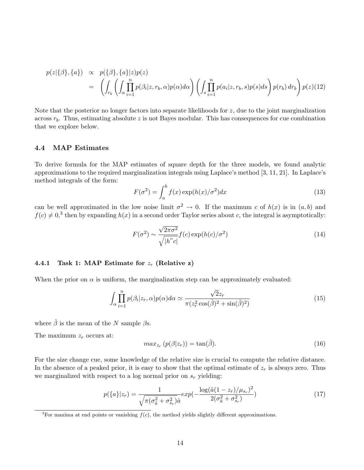$$
p(z|\{\beta\},\{a\}) \propto p(\{\beta\},\{a\}|z)p(z)
$$
  
= 
$$
\left(\int_{r_b} \left(\int_{\alpha} \prod_{i=1}^n p(\beta_i|z,r_b,\alpha)p(\alpha)d\alpha\right) \left(\int_s \prod_{i=1}^n p(a_i|z,r_b,s)p(s)ds\right) p(r_b) dr_b\right) p(z)(12)
$$

Note that the posterior no longer factors into separate likelihoods for *z*, due to the joint marginalization across  $r_b$ . Thus, estimating absolute  $z$  is not Bayes modular. This has consequences for cue combination that we explore below.

### **4.4 MAP Estimates**

To derive formula for the MAP estimates of square depth for the three models, we found analytic approximations to the required marginalization integrals using Laplace's method [3, 11, 21]. In Laplace's method integrals of the form:

$$
F(\sigma^2) = \int_a^b f(x) \exp(h(x)/\sigma^2) dx
$$
\n(13)

can be well approximated in the low noise limit  $\sigma^2 \to 0$ . If the maximum *c* of  $h(x)$  is in  $(a, b)$  and  $f(c) \neq 0$ <sup>3</sup>, then by expanding  $h(x)$  in a second order Taylor series about *c*, the integral is asymptotically:

$$
F(\sigma^2) \sim \frac{\sqrt{2\pi\sigma^2}}{\sqrt{|h''c|}} f(c) \exp(h(c)/\sigma^2)
$$
\n(14)

### **4.4.1 Task 1: MAP Estimate for** *z<sup>r</sup>* **(Relative z)**

When the prior on  $\alpha$  is uniform, the marginalization step can be approximately evaluated:

$$
\int_{\alpha} \prod_{i=1}^{n} p(\beta_i | z_r, \alpha) p(\alpha) d\alpha \simeq \frac{\sqrt{2}z_r}{\pi (z_r^2 \cos(\hat{\beta})^2 + \sin(\hat{\beta})^2)}
$$
(15)

where  $\hat{\beta}$  is the mean of the *N* sample  $\beta$ s.

The maximum *z<sup>r</sup>* occurs at:

$$
max_{z_r} (p(\beta | z_r)) = \tan(\hat{\beta}). \tag{16}
$$

For the size change cue, some knowledge of the relative size is crucial to compute the relative distance. In the absence of a peaked prior, it is easy to show that the optimal estimate of *z<sup>r</sup>* is always zero. Thus we marginalized with respect to a log normal prior on  $s_r$  yielding:

$$
p(\{a\}|z_r) = \frac{1}{\sqrt{\pi(\sigma_a^2 + \sigma_{s_r}^2)}\hat{a}} exp(-\frac{\log(\hat{a}(1 - z_r)/\mu_{s_r})^2}{2(\sigma_a^2 + \sigma_{s_r}^2)})
$$
(17)

<sup>&</sup>lt;sup>3</sup>For maxima at end points or vanishing  $f(c)$ , the method yields slightly different approximations.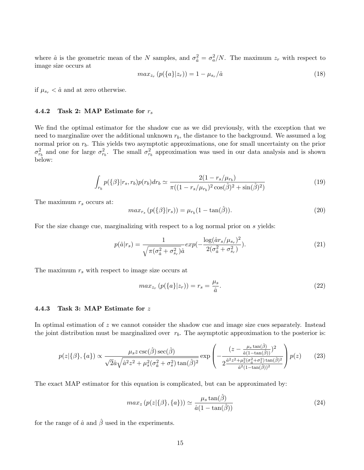where  $\hat{a}$  is the geometric mean of the *N* samples, and  $\sigma_{\hat{a}}^2 = \sigma_a^2/N$ . The maximum  $z_r$  with respect to image size occurs at

$$
max_{z_r} (p({a}|z_r)) = 1 - \mu_{s_r}/\hat{a}
$$
\n(18)

if  $\mu_{s_r} < \hat{a}$  and at zero otherwise.

### **4.4.2 Task 2: MAP Estimate for** *r<sup>s</sup>*

We find the optimal estimator for the shadow cue as we did previously, with the exception that we need to marginalize over the additional unknown *rb*, the distance to the background. We assumed a log normal prior on  $r<sub>b</sub>$ . This yields two asymptotic approximations, one for small uncertainty on the prior  $\sigma_{r_b}^2$  and one for large  $\sigma_{r_b}^2$ . The small  $\sigma_{r_b}^2$  approximation was used in our data analysis and is shown below:

$$
\int_{r_b} p(\{\beta\}|r_s, r_b) p(r_b) dr_b \simeq \frac{2(1 - r_s/\mu_{r_b})}{\pi((1 - r_s/\mu_{r_b})^2 \cos(\hat{\beta})^2 + \sin(\hat{\beta})^2)}
$$
(19)

The maximum *r<sup>s</sup>* occurs at:

$$
max_{r_s} (p(\{\beta\}|r_s)) = \mu_{r_b} (1 - \tan(\hat{\beta})). \tag{20}
$$

For the size change cue, marginalizing with respect to a log normal prior on *s* yields:

$$
p(\hat{a}|r_s) = \frac{1}{\sqrt{\pi(\sigma_{\hat{a}}^2 + \sigma_{s_r}^2)}\hat{a}} exp(-\frac{\log(\hat{a}r_s/\mu_{s_r})^2}{2(\sigma_{\hat{a}}^2 + \sigma_{s_r}^2)}).
$$
 (21)

The maximum *r<sup>s</sup>* with respect to image size occurs at

$$
max_{z_r} (p(\lbrace a \rbrace | z_r)) = r_s = \frac{\mu_s}{\hat{a}}.
$$
\n
$$
(22)
$$

#### **4.4.3 Task 3: MAP Estimate for** *z*

In optimal estimation of *z* we cannot consider the shadow cue and image size cues separately. Instead the joint distribution must be marginalized over  $r<sub>b</sub>$ . The asymptotic approximation to the posterior is:

$$
p(z|\{\beta\},\{a\}) \propto \frac{\mu_s z \csc(\hat{\beta}) \sec(\hat{\beta})}{\sqrt{2}\hat{a}\sqrt{\hat{a}^2 z^2 + \mu_s^2(\sigma_a^2 + \sigma_s^2)\tan(\hat{\beta})^2}} \exp\left(-\frac{(z - \frac{\mu_s \tan(\hat{\beta})}{\hat{a}(1 - \tan(\hat{\beta}))})^2}{2\frac{\hat{a}^2 z^2 + \mu_s^2(\sigma_a^2 + \sigma_s^2)\tan(\hat{\beta})^2}{\hat{a}^2(1 - \tan(\hat{\beta}))^2}}\right) p(z)
$$
(23)

The exact MAP estimator for this equation is complicated, but can be approximated by:

$$
max_z (p(z|\{\beta\}, \{a\})) \simeq \frac{\mu_s \tan(\hat{\beta})}{\hat{a}(1 - \tan(\hat{\beta}))}
$$
\n(24)

for the range of  $\hat{a}$  and  $\hat{\beta}$  used in the experiments.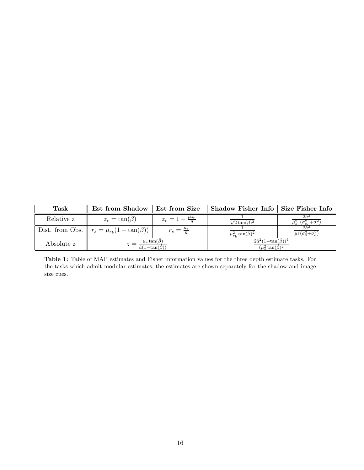| Task       | Est from Shadow                                                     |                                   | Est from Size    Shadow Fisher Info   Size Fisher Info                 |                                                       |
|------------|---------------------------------------------------------------------|-----------------------------------|------------------------------------------------------------------------|-------------------------------------------------------|
| Relative z | $z_r = \tan(\beta)$                                                 | $z_r=1-\frac{\mu_{s_r}}{\hat{a}}$ | $\sqrt{2} \tan(\hat{\beta})^2$                                         | $\mu_{s_r}^2(\sigma_{s_r}^2+\sigma_{\hat{\sigma}}^2)$ |
|            | Dist. from Obs. $\  r_s = \mu_{r_b} (1 - \tan(\beta))$              | $r_s = \frac{\mu_s}{\hat{s}}$     | $\mu_r^2$ , tan $(\beta)^2$                                            | $\mu_s^2(\sigma_s^2+\sigma_{\hat{a}}^2)$              |
| Absolute z | $z = \frac{\mu_s \tan(\beta)}{2}$<br>$\hat{a}(1-\tan(\hat{\beta}))$ |                                   | $2\hat{a}^2(1-\tan(\hat{\beta}))^4$<br>$(\mu_{\rm s}^2 \tan(\beta)^2)$ |                                                       |

**Table 1:** Table of MAP estimates and Fisher information values for the three depth estimate tasks. For the tasks which admit modular estimates, the estimates are shown separately for the shadow and image size cues.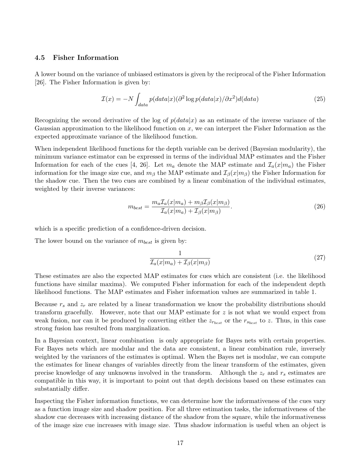### **4.5 Fisher Information**

A lower bound on the variance of unbiased estimators is given by the reciprocal of the Fisher Information [26]. The Fisher Information is given by:

$$
\mathcal{I}(x) = -N \int_{data} p(data|x) (\partial^2 \log p(data|x) / \partial x^2) d(data)
$$
\n(25)

Recognizing the second derivative of the log of  $p(data|x)$  as an estimate of the inverse variance of the Gaussian approximation to the likelihood function on *x*, we can interpret the Fisher Information as the expected approximate variance of the likelihood function.

When independent likelihood functions for the depth variable can be derived (Bayesian modularity), the minimum variance estimator can be expressed in terms of the individual MAP estimates and the Fisher Information for each of the cues [4, 26]. Let  $m_a$  denote the MAP estimate and  $\mathcal{I}_a(x|m_a)$  the Fisher information for the image size cue, and  $m<sub>\beta</sub>$  the MAP estimate and  $\mathcal{I}_{\beta}(x|m_{\beta})$  the Fisher Information for the shadow cue. Then the two cues are combined by a linear combination of the individual estimates, weighted by their inverse variances:

$$
m_{best} = \frac{m_a \mathcal{I}_a(x|m_a) + m_\beta \mathcal{I}_\beta(x|m_\beta)}{\mathcal{I}_a(x|m_a) + \mathcal{I}_\beta(x|m_\beta)}.
$$
\n(26)

which is a specific prediction of a confidence-driven decision.

The lower bound on the variance of *mbest* is given by:

$$
\frac{1}{\mathcal{I}_a(x|m_a) + \mathcal{I}_\beta(x|m_\beta)}\tag{27}
$$

These estimates are also the expected MAP estimates for cues which are consistent (i.e. the likelihood functions have similar maxima). We computed Fisher information for each of the independent depth likelihood functions. The MAP estimates and Fisher information values are summarized in table 1.

Because *r<sup>s</sup>* and *z<sup>r</sup>* are related by a linear transformation we know the probability distributions should transform gracefully. However, note that our MAP estimate for *z* is not what we would expect from weak fusion, nor can it be produced by converting either the  $z_{r_{best}}$  or the  $r_{s_{best}}$  to *z*. Thus, in this case strong fusion has resulted from marginalization.

In a Bayesian context, linear combination is only appropriate for Bayes nets with certain properties. For Bayes nets which are modular and the data are consistent, a linear combination rule, inversely weighted by the variances of the estimates is optimal. When the Bayes net is modular, we can compute the estimates for linear changes of variables directly from the linear transform of the estimates, given precise knowledge of any unknowns involved in the transform. Although the *z<sup>r</sup>* and *r<sup>s</sup>* estimates are compatible in this way, it is important to point out that depth decisions based on these estimates can substantially differ.

Inspecting the Fisher information functions, we can determine how the informativeness of the cues vary as a function image size and shadow position. For all three estimation tasks, the informativeness of the shadow cue decreases with increasing distance of the shadow from the square, while the informativeness of the image size cue increases with image size. Thus shadow information is useful when an object is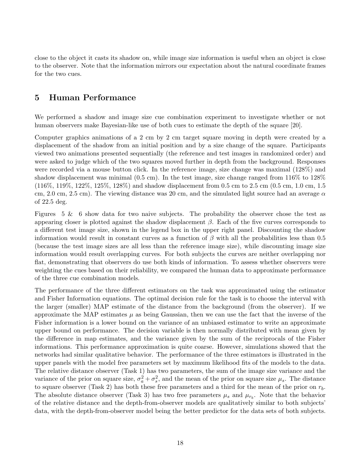close to the object it casts its shadow on, while image size information is useful when an object is close to the observer. Note that the information mirrors our expectation about the natural coordinate frames for the two cues.

# **5 Human Performance**

We performed a shadow and image size cue combination experiment to investigate whether or not human observers make Bayesian-like use of both cues to estimate the depth of the square [20].

Computer graphics animations of a 2 cm by 2 cm target square moving in depth were created by a displacement of the shadow from an initial position and by a size change of the square. Participants viewed two animations presented sequentially (the reference and test images in randomized order) and were asked to judge which of the two squares moved further in depth from the background. Responses were recorded via a mouse button click. In the reference image, size change was maximal (128%) and shadow displacement was minimal (0.5 cm). In the test image, size change ranged from 116% to 128% (116%, 119%, 122%, 125%, 128%) and shadow displacement from 0.5 cm to 2.5 cm (0.5 cm, 1.0 cm, 1.5 cm, 2.0 cm, 2.5 cm). The viewing distance was 20 cm, and the simulated light source had an average *α* of 22.5 deg.

Figures  $5 \& 6$  show data for two naive subjects. The probability the observer chose the test as appearing closer is plotted against the shadow displacement *β*. Each of the five curves corresponds to a different test image size, shown in the legend box in the upper right panel. Discounting the shadow information would result in constant curves as a function of  $\beta$  with all the probabilities less than 0.5 (because the test image sizes are all less than the reference image size), while discounting image size information would result overlapping curves. For both subjects the curves are neither overlapping nor flat, demonstrating that observers do use both kinds of information. To assess whether observers were weighting the cues based on their reliability, we compared the human data to approximate performance of the three cue combination models.

The performance of the three different estimators on the task was approximated using the estimator and Fisher Information equations. The optimal decision rule for the task is to choose the interval with the larger (smaller) MAP estimate of the distance from the background (from the observer). If we approximate the MAP estimates  $\mu$  as being Gaussian, then we can use the fact that the inverse of the Fisher information is a lower bound on the variance of an unbiased estimator to write an approximate upper bound on performance. The decision variable is then normally distributed with mean given by the difference in map estimates, and the variance given by the sum of the reciprocals of the Fisher informations. This performance approximation is quite coarse. However, simulations showed that the networks had similar qualitative behavior. The performance of the three estimators is illustrated in the upper panels with the model free parameters set by maximum likelihood fits of the models to the data. The relative distance observer (Task 1) has two parameters, the sum of the image size variance and the variance of the prior on square size,  $\sigma_a^2 + \sigma_s^2$ , and the mean of the prior on square size  $\mu_s$ . The distance to square observer (Task 2) has both these free parameters and a third for the mean of the prior on  $r_b$ . The absolute distance observer (Task 3) has two free parameters  $\mu_s$  and  $\mu_{r_b}$ . Note that the behavior of the relative distance and the depth-from-observer models are qualitatively similar to both subjects' data, with the depth-from-observer model being the better predictor for the data sets of both subjects.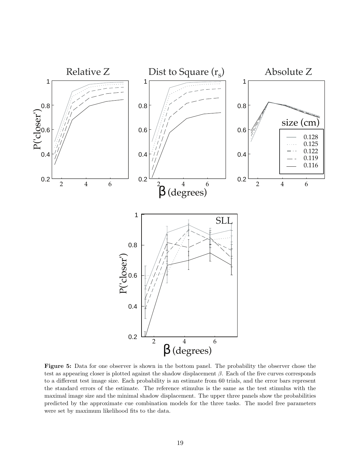

**Figure 5:** Data for one observer is shown in the bottom panel. The probability the observer chose the test as appearing closer is plotted against the shadow displacement *β*. Each of the five curves corresponds to a different test image size. Each probability is an estimate from 60 trials, and the error bars represent the standard errors of the estimate. The reference stimulus is the same as the test stimulus with the maximal image size and the minimal shadow displacement. The upper three panels show the probabilities predicted by the approximate cue combination models for the three tasks. The model free parameters were set by maximum likelihood fits to the data.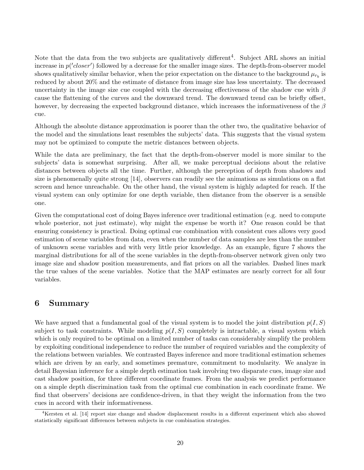Note that the data from the two subjects are qualitatively different<sup>4</sup>. Subject ARL shows an initial increase in  $p('closer')$  followed by a decrease for the smaller image sizes. The depth-from-observer model shows qualitatively similar behavior, when the prior expectation on the distance to the background  $\mu_{r_b}$  is reduced by about 20% and the estimate of distance from image size has less uncertainty. The decreased uncertainty in the image size cue coupled with the decreasing effectiveness of the shadow cue with *β* cause the flattening of the curves and the downward trend. The downward trend can be briefly offset, however, by decreasing the expected background distance, which increases the informativeness of the *β* cue.

Although the absolute distance approximation is poorer than the other two, the qualitative behavior of the model and the simulations least resembles the subjects' data. This suggests that the visual system may not be optimized to compute the metric distances between objects.

While the data are preliminary, the fact that the depth-from-observer model is more similar to the subjects' data is somewhat surprising. After all, we make perceptual decisions about the relative distances between objects all the time. Further, although the perception of depth from shadows and size is phenomenally quite strong [14], observers can readily see the animations as simulations on a flat screen and hence unreachable. On the other hand, the visual system is highly adapted for reach. If the visual system can only optimize for one depth variable, then distance from the observer is a sensible one.

Given the computational cost of doing Bayes inference over traditional estimation (e.g. need to compute whole posterior, not just estimate), why might the expense be worth it? One reason could be that ensuring consistency is practical. Doing optimal cue combination with consistent cues allows very good estimation of scene variables from data, even when the number of data samples are less than the number of unknown scene variables and with very little prior knowledge. As an example, figure 7 shows the marginal distributions for all of the scene variables in the depth-from-observer network given only two image size and shadow position measurements, and flat priors on all the variables. Dashed lines mark the true values of the scene variables. Notice that the MAP estimates are nearly correct for all four variables.

# **6 Summary**

We have argued that a fundamental goal of the visual system is to model the joint distribution  $p(I, S)$ subject to task constraints. While modeling  $p(I, S)$  completely is intractable, a visual system which which is only required to be optimal on a limited number of tasks can considerably simplify the problem by exploiting conditional independence to reduce the number of required variables and the complexity of the relations between variables. We contrasted Bayes inference and more traditional estimation schemes which are driven by an early, and sometimes premature, commitment to modularity. We analyze in detail Bayesian inference for a simple depth estimation task involving two disparate cues, image size and cast shadow position, for three different coordinate frames. From the analysis we predict performance on a simple depth discrimination task from the optimal cue combination in each coordinate frame. We find that observers' decisions are confidence-driven, in that they weight the information from the two cues in accord with their informativeness.

<sup>4</sup>Kersten et al. [14] report size change and shadow displacement results in a different experiment which also showed statistically significant differences between subjects in cue combination strategies.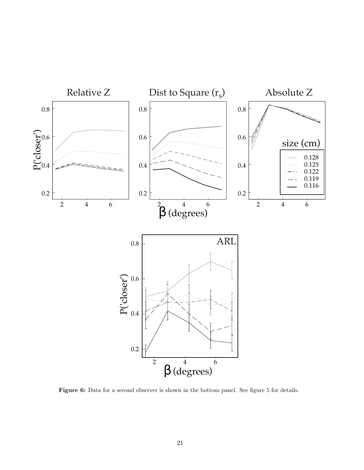

Figure 6: Data for a second observer is shown in the bottom panel. See figure 5 for details.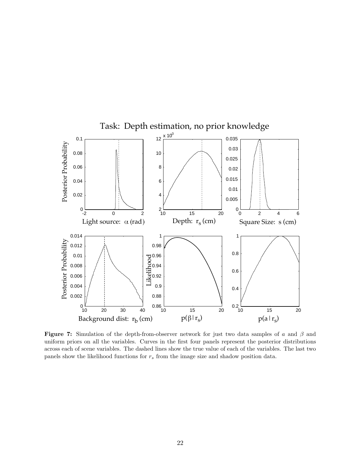

**Figure 7:** Simulation of the depth-from-observer network for just two data samples of *a* and *β* and uniform priors on all the variables. Curves in the first four panels represent the posterior distributions across each of scene variables. The dashed lines show the true value of each of the variables. The last two panels show the likelihood functions for *r<sup>s</sup>* from the image size and shadow position data.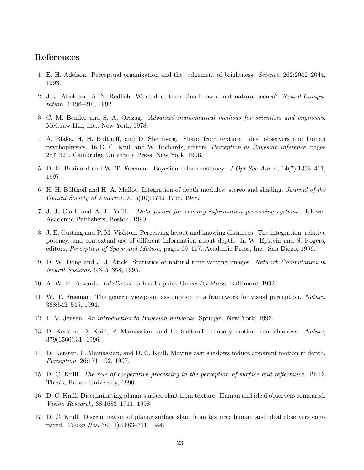## **References**

- 1. E. H. Adelson. Perceptual organization and the judgement of brightness. Science, 262:2042–2044, 1993.
- 2. J. J. Atick and A. N. Redlich. What does the retina know about natural scenes? Neural Computation, 4:196–210, 1992.
- 3. C. M. Bender and S. A. Orszag. Advanced mathematical methods for scientists and engineers. McGraw-Hill, Inc., New York, 1978.
- 4. A. Blake, H. H. Bulthoff, and D. Sheinberg. Shape from texture: Ideal observers and human psychophysics. In D. C. Knill and W. Richards, editors, Perception as Bayesian inference, pages 287–321. Cambridge University Press, New York, 1996.
- 5. D. H. Brainard and W. T. Freeman. Bayesian color constancy. J Opt Soc Am A, 14(7):1393–411, 1997.
- 6. H. H. Bülthoff and H. A. Mallot. Integration of depth modules: stereo and shading. Journal of the Optical Society of America, A, 5(10):1749–1758, 1988.
- 7. J. J. Clark and A. L. Yuille. Data fusion for sensory information processing systems. Kluwer Academic Publishers, Boston, 1990.
- 8. J. E. Cutting and P. M. Vishton. Perceiving layout and knowing distances: The integration, relative potency, and contextual use of different information about depth. In W. Epstein and S. Rogers, editors, Perception of Space and Motion, pages 69–117. Academic Press, Inc., San Diego, 1996.
- 9. D. W. Dong and J. J. Atick. Statistics of natural time varying images. Network Computation in Neural Systems, 6:345–358, 1995.
- 10. A. W. F. Edwards. Likelihood. Johns Hopkins University Press, Baltimore, 1992.
- 11. W. T. Freeman. The generic viewpoint assumption in a framework for visual perception. Nature, 368:542–545, 1994.
- 12. F. V. Jensen. An introduction to Bayesian networks. Springer, New York, 1996.
- 13. D. Kersten, D. Knill, P. Mamassian, and I. Buelthoff. Illusory motion from shadows. Nature, 379(6560):31, 1996.
- 14. D. Kersten, P. Mamassian, and D. C. Knill. Moving cast shadows induce apparent motion in depth. Perception, 26:171–192, 1997.
- 15. D. C. Knill. The role of cooperative processing in the perception of surface and reflectance. Ph.D. Thesis, Brown University, 1990.
- 16. D. C. Knill. Discriminating planar surface slant from texture: Human and ideal observers compared. Vision Research, 38:1683–1711, 1998.
- 17. D. C. Knill. Discrimination of planar surface slant from texture: human and ideal observers compared. Vision Res, 38(11):1683–711, 1998.